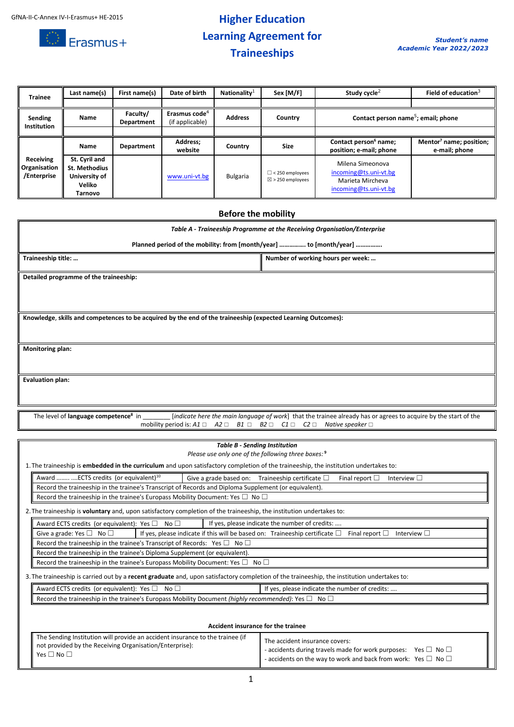

# **Higher Education Learning Agreement for Traineeships**

| <b>Trainee</b>                           | Last name(s)                                                                | First name(s)          | Date of birth                                | Nationality $1$ | Sex [M/F]                                             | Study cycle <sup>2</sup>                                                               | Field of education <sup>3</sup>                      |
|------------------------------------------|-----------------------------------------------------------------------------|------------------------|----------------------------------------------|-----------------|-------------------------------------------------------|----------------------------------------------------------------------------------------|------------------------------------------------------|
|                                          |                                                                             |                        |                                              |                 |                                                       |                                                                                        |                                                      |
| Sending<br><b>Institution</b>            | Name                                                                        | Faculty/<br>Department | Erasmus code <sup>4</sup><br>(if applicable) | <b>Address</b>  | Country                                               | Contact person name <sup>5</sup> ; email; phone                                        |                                                      |
|                                          |                                                                             |                        |                                              |                 |                                                       |                                                                                        |                                                      |
|                                          | Name                                                                        | Department             | Address;<br>website                          | Country         | <b>Size</b>                                           | Contact person <sup>6</sup> name;<br>position; e-mail; phone                           | Mentor <sup>7</sup> name; position;<br>e-mail; phone |
| Receiving<br>Organisation<br>/Enterprise | St. Cyril and<br><b>St. Methodius</b><br>University of<br>Veliko<br>Tarnovo |                        | www.uni-vt.bg                                | <b>Bulgaria</b> | $\Box$ < 250 employees<br>$\boxtimes$ > 250 employees | Milena Simeonova<br>incoming@ts.uni-vt.bg<br>Marieta Mircheva<br>incoming@ts.uni-vt.bg |                                                      |

#### **Before the mobility**

| Table A - Traineeship Programme at the Receiving Organisation/Enterprise                                     |  |  |  |  |
|--------------------------------------------------------------------------------------------------------------|--|--|--|--|
| Planned period of the mobility: from [month/year]  to [month/year]                                           |  |  |  |  |
| Traineeship title:<br>Number of working hours per week:                                                      |  |  |  |  |
| Detailed programme of the traineeship:                                                                       |  |  |  |  |
|                                                                                                              |  |  |  |  |
|                                                                                                              |  |  |  |  |
| Knowledge, skills and competences to be acquired by the end of the traineeship (expected Learning Outcomes): |  |  |  |  |
|                                                                                                              |  |  |  |  |
| <b>Monitoring plan:</b>                                                                                      |  |  |  |  |
|                                                                                                              |  |  |  |  |
| <b>Evaluation plan:</b>                                                                                      |  |  |  |  |
|                                                                                                              |  |  |  |  |

The level of **language competence<sup>8</sup>** in \_\_\_\_\_\_\_\_ [*indicate here the main language of work*] that the trainee already has or agrees to acquire by the start of the mobility period is: *A1* ☐ *A2* ☐ *B1* ☐ *B2* ☐ *C1* ☐ *C2* ☐ *Native speaker* ☐

| Please use only one of the following three boxes: 9                                                                                                                        |                                                                                                                                                                |  |  |  |  |
|----------------------------------------------------------------------------------------------------------------------------------------------------------------------------|----------------------------------------------------------------------------------------------------------------------------------------------------------------|--|--|--|--|
| 1. The traineeship is <b>embedded in the curriculum</b> and upon satisfactory completion of the traineeship, the institution undertakes to:                                |                                                                                                                                                                |  |  |  |  |
| Award  ECTS credits (or equivalent) <sup>10</sup><br>Give a grade based on: Traineeship certificate $\square$<br>Final report $\square$<br>Interview $\square$             |                                                                                                                                                                |  |  |  |  |
| Record the traineeship in the trainee's Transcript of Records and Diploma Supplement (or equivalent).                                                                      |                                                                                                                                                                |  |  |  |  |
| Record the traineeship in the trainee's Europass Mobility Document: Yes $\square$ No $\square$                                                                             |                                                                                                                                                                |  |  |  |  |
| 2. The traineeship is voluntary and, upon satisfactory completion of the traineeship, the institution undertakes to:                                                       |                                                                                                                                                                |  |  |  |  |
| If yes, please indicate the number of credits:<br>Award ECTS credits (or equivalent): Yes $\Box$ No $\Box$                                                                 |                                                                                                                                                                |  |  |  |  |
| If yes, please indicate if this will be based on: Traineeship certificate $\Box$<br>Give a grade: Yes $\square$ No $\square$<br>Final report $\square$<br>Interview $\Box$ |                                                                                                                                                                |  |  |  |  |
| Record the traineeship in the trainee's Transcript of Records: Yes $\square$ No $\square$                                                                                  |                                                                                                                                                                |  |  |  |  |
| Record the traineeship in the trainee's Diploma Supplement (or equivalent).                                                                                                |                                                                                                                                                                |  |  |  |  |
| Record the traineeship in the trainee's Europass Mobility Document: Yes $\square$ No $\square$                                                                             |                                                                                                                                                                |  |  |  |  |
| 3. The traineeship is carried out by a recent graduate and, upon satisfactory completion of the traineeship, the institution undertakes to:                                |                                                                                                                                                                |  |  |  |  |
| If yes, please indicate the number of credits:<br>Award ECTS credits (or equivalent): Yes $\square$ No $\square$                                                           |                                                                                                                                                                |  |  |  |  |
| Record the traineeship in the trainee's Europass Mobility Document (highly recommended): Yes $\square$ No $\square$                                                        |                                                                                                                                                                |  |  |  |  |
|                                                                                                                                                                            |                                                                                                                                                                |  |  |  |  |
| Accident insurance for the trainee                                                                                                                                         |                                                                                                                                                                |  |  |  |  |
| The Sending Institution will provide an accident insurance to the trainee (if                                                                                              |                                                                                                                                                                |  |  |  |  |
| The accident insurance covers:<br>not provided by the Receiving Organisation/Enterprise):                                                                                  |                                                                                                                                                                |  |  |  |  |
| Yes $\square$ No $\square$                                                                                                                                                 | - accidents during travels made for work purposes: Yes $\square$ No $\square$<br>- accidents on the way to work and back from work: Yes $\square$ No $\square$ |  |  |  |  |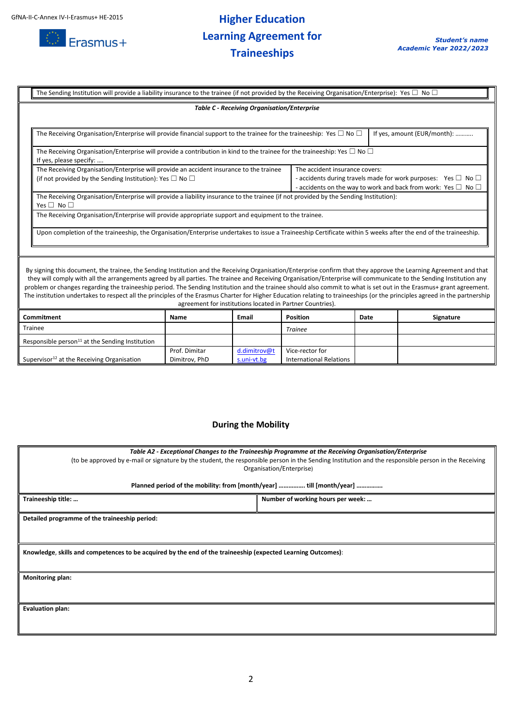

# **Higher Education Learning Agreement for Traineeships**

|                                                                                                                                                                                                                                                                                                                                                                                                                                                                                                                                                                                                                                                                                                                                                             | The Sending Institution will provide a liability insurance to the trainee (if not provided by the Receiving Organisation/Enterprise): Yes $\Box$ No $\Box$     |                                                                                                                                                                                            |  |  |  |  |
|-------------------------------------------------------------------------------------------------------------------------------------------------------------------------------------------------------------------------------------------------------------------------------------------------------------------------------------------------------------------------------------------------------------------------------------------------------------------------------------------------------------------------------------------------------------------------------------------------------------------------------------------------------------------------------------------------------------------------------------------------------------|----------------------------------------------------------------------------------------------------------------------------------------------------------------|--------------------------------------------------------------------------------------------------------------------------------------------------------------------------------------------|--|--|--|--|
|                                                                                                                                                                                                                                                                                                                                                                                                                                                                                                                                                                                                                                                                                                                                                             | <b>Table C - Receiving Organisation/Enterprise</b>                                                                                                             |                                                                                                                                                                                            |  |  |  |  |
|                                                                                                                                                                                                                                                                                                                                                                                                                                                                                                                                                                                                                                                                                                                                                             |                                                                                                                                                                |                                                                                                                                                                                            |  |  |  |  |
|                                                                                                                                                                                                                                                                                                                                                                                                                                                                                                                                                                                                                                                                                                                                                             | If yes, amount (EUR/month):<br>The Receiving Organisation/Enterprise will provide financial support to the trainee for the traineeship: Yes $\Box$ No $\Box$   |                                                                                                                                                                                            |  |  |  |  |
|                                                                                                                                                                                                                                                                                                                                                                                                                                                                                                                                                                                                                                                                                                                                                             | The Receiving Organisation/Enterprise will provide a contribution in kind to the trainee for the traineeship: Yes $\Box$ No $\Box$<br>If yes, please specify:  |                                                                                                                                                                                            |  |  |  |  |
|                                                                                                                                                                                                                                                                                                                                                                                                                                                                                                                                                                                                                                                                                                                                                             | The Receiving Organisation/Enterprise will provide an accident insurance to the trainee<br>(if not provided by the Sending Institution): Yes $\Box$ No $\Box$  | The accident insurance covers:<br>- accidents during travels made for work purposes: Yes $\Box$ No $\Box$<br>- accidents on the way to work and back from work: Yes $\square$ No $\square$ |  |  |  |  |
|                                                                                                                                                                                                                                                                                                                                                                                                                                                                                                                                                                                                                                                                                                                                                             | The Receiving Organisation/Enterprise will provide a liability insurance to the trainee (if not provided by the Sending Institution):<br>Yes $\Box$ No $\Box$  |                                                                                                                                                                                            |  |  |  |  |
|                                                                                                                                                                                                                                                                                                                                                                                                                                                                                                                                                                                                                                                                                                                                                             | The Receiving Organisation/Enterprise will provide appropriate support and equipment to the trainee.                                                           |                                                                                                                                                                                            |  |  |  |  |
|                                                                                                                                                                                                                                                                                                                                                                                                                                                                                                                                                                                                                                                                                                                                                             | Upon completion of the traineeship, the Organisation/Enterprise undertakes to issue a Traineeship Certificate within 5 weeks after the end of the traineeship. |                                                                                                                                                                                            |  |  |  |  |
|                                                                                                                                                                                                                                                                                                                                                                                                                                                                                                                                                                                                                                                                                                                                                             |                                                                                                                                                                |                                                                                                                                                                                            |  |  |  |  |
| By signing this document, the trainee, the Sending Institution and the Receiving Organisation/Enterprise confirm that they approve the Learning Agreement and that<br>they will comply with all the arrangements agreed by all parties. The trainee and Receiving Organisation/Enterprise will communicate to the Sending Institution any<br>problem or changes regarding the traineeship period. The Sending Institution and the trainee should also commit to what is set out in the Erasmus+ grant agreement.<br>The institution undertakes to respect all the principles of the Erasmus Charter for Higher Education relating to traineeships (or the principles agreed in the partnership<br>agreement for institutions located in Partner Countries). |                                                                                                                                                                |                                                                                                                                                                                            |  |  |  |  |

| <b>Commitment</b>                                           | Name          | Email        | <b>Position</b>                | Date | Signature |
|-------------------------------------------------------------|---------------|--------------|--------------------------------|------|-----------|
| Trainee                                                     |               |              | <b>Trainee</b>                 |      |           |
| Responsible person <sup>11</sup> at the Sending Institution |               |              |                                |      |           |
|                                                             | Prof. Dimitar | d.dimitrov@t | Vice-rector for                |      |           |
| Supervisor <sup>12</sup> at the Receiving Organisation      | Dimitrov. PhD | s.uni-vt.bg  | <b>International Relations</b> |      |           |

### **During the Mobility**

| Table A2 - Exceptional Changes to the Traineeship Programme at the Receiving Organisation/Enterprise<br>(to be approved by e-mail or signature by the student, the responsible person in the Sending Institution and the responsible person in the Receiving<br>Organisation/Enterprise)<br>Planned period of the mobility: from [month/year]  till [month/year] |                                   |  |  |  |
|------------------------------------------------------------------------------------------------------------------------------------------------------------------------------------------------------------------------------------------------------------------------------------------------------------------------------------------------------------------|-----------------------------------|--|--|--|
| Traineeship title:                                                                                                                                                                                                                                                                                                                                               | Number of working hours per week: |  |  |  |
| Detailed programme of the traineeship period:                                                                                                                                                                                                                                                                                                                    |                                   |  |  |  |
| Knowledge, skills and competences to be acquired by the end of the traineeship (expected Learning Outcomes):                                                                                                                                                                                                                                                     |                                   |  |  |  |
| Monitoring plan:                                                                                                                                                                                                                                                                                                                                                 |                                   |  |  |  |
| <b>Evaluation plan:</b>                                                                                                                                                                                                                                                                                                                                          |                                   |  |  |  |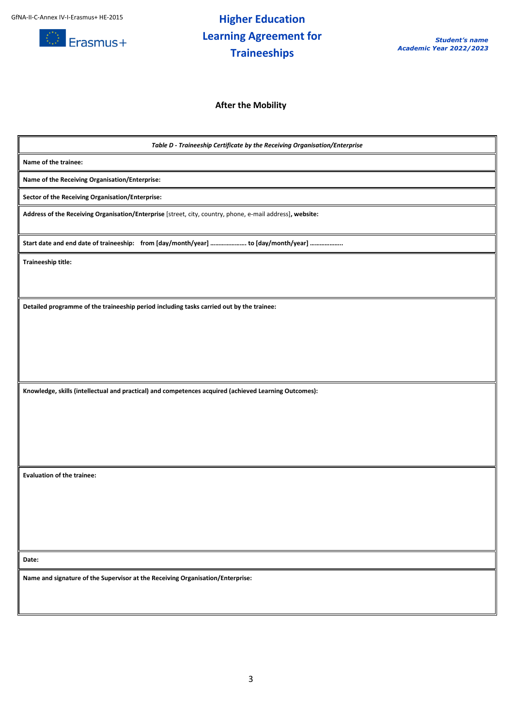

## **Higher Education Learning Agreement for Traineeships**

**After the Mobility**

*Table D - Traineeship Certificate by the Receiving Organisation/Enterprise* **Name of the trainee: Name of the Receiving Organisation/Enterprise: Sector of the Receiving Organisation/Enterprise: Address of the Receiving Organisation/Enterprise** [street, city, country, phone, e-mail address]**, website: Start date and end date of traineeship: from [day/month/year] …………………. to [day/month/year] ……………….. Traineeship title: Detailed programme of the traineeship period including tasks carried out by the trainee: Knowledge, skills (intellectual and practical) and competences acquired (achieved Learning Outcomes): Evaluation of the trainee: Date: Name and signature of the Supervisor at the Receiving Organisation/Enterprise:**